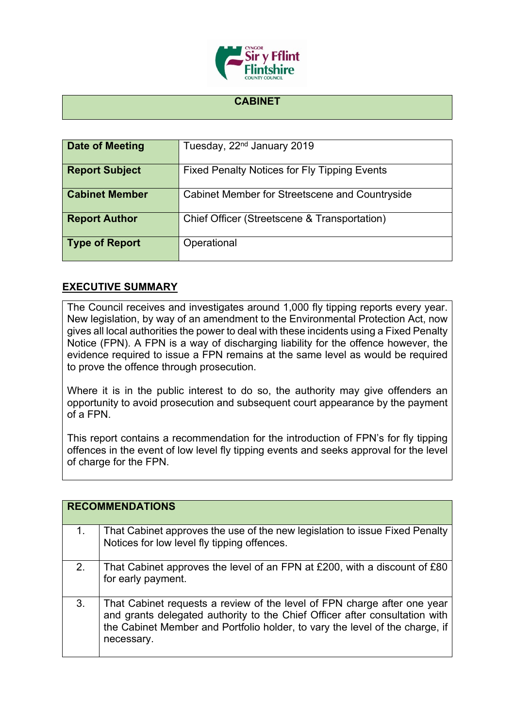

## **CABINET**

| Date of Meeting       | Tuesday, 22 <sup>nd</sup> January 2019              |
|-----------------------|-----------------------------------------------------|
| <b>Report Subject</b> | <b>Fixed Penalty Notices for Fly Tipping Events</b> |
| <b>Cabinet Member</b> | Cabinet Member for Streetscene and Countryside      |
| <b>Report Author</b>  | Chief Officer (Streetscene & Transportation)        |
| <b>Type of Report</b> | Operational                                         |

## **EXECUTIVE SUMMARY**

The Council receives and investigates around 1,000 fly tipping reports every year. New legislation, by way of an amendment to the Environmental Protection Act, now gives all local authorities the power to deal with these incidents using a Fixed Penalty Notice (FPN). A FPN is a way of discharging liability for the offence however, the evidence required to issue a FPN remains at the same level as would be required to prove the offence through prosecution.

Where it is in the public interest to do so, the authority may give offenders an opportunity to avoid prosecution and subsequent court appearance by the payment of a FPN.

This report contains a recommendation for the introduction of FPN's for fly tipping offences in the event of low level fly tipping events and seeks approval for the level of charge for the FPN.

|    | <b>RECOMMENDATIONS</b>                                                                                                                                                                                                                                |
|----|-------------------------------------------------------------------------------------------------------------------------------------------------------------------------------------------------------------------------------------------------------|
| 1. | That Cabinet approves the use of the new legislation to issue Fixed Penalty<br>Notices for low level fly tipping offences.                                                                                                                            |
| 2. | That Cabinet approves the level of an FPN at £200, with a discount of £80<br>for early payment.                                                                                                                                                       |
| 3. | That Cabinet requests a review of the level of FPN charge after one year<br>and grants delegated authority to the Chief Officer after consultation with<br>the Cabinet Member and Portfolio holder, to vary the level of the charge, if<br>necessary. |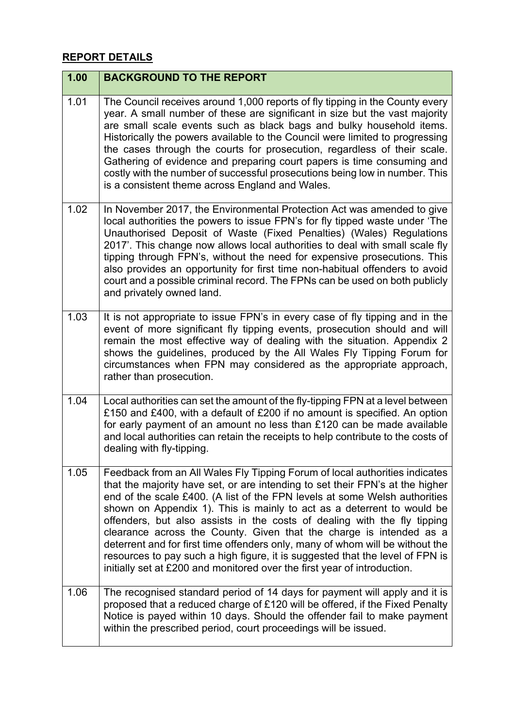## **REPORT DETAILS**

| 1.00 | <b>BACKGROUND TO THE REPORT</b>                                                                                                                                                                                                                                                                                                                                                                                                                                                                                                                                                                                                                                                                                       |
|------|-----------------------------------------------------------------------------------------------------------------------------------------------------------------------------------------------------------------------------------------------------------------------------------------------------------------------------------------------------------------------------------------------------------------------------------------------------------------------------------------------------------------------------------------------------------------------------------------------------------------------------------------------------------------------------------------------------------------------|
| 1.01 | The Council receives around 1,000 reports of fly tipping in the County every<br>year. A small number of these are significant in size but the vast majority<br>are small scale events such as black bags and bulky household items.<br>Historically the powers available to the Council were limited to progressing<br>the cases through the courts for prosecution, regardless of their scale.<br>Gathering of evidence and preparing court papers is time consuming and<br>costly with the number of successful prosecutions being low in number. This<br>is a consistent theme across England and Wales.                                                                                                           |
| 1.02 | In November 2017, the Environmental Protection Act was amended to give<br>local authorities the powers to issue FPN's for fly tipped waste under 'The<br>Unauthorised Deposit of Waste (Fixed Penalties) (Wales) Regulations<br>2017'. This change now allows local authorities to deal with small scale fly<br>tipping through FPN's, without the need for expensive prosecutions. This<br>also provides an opportunity for first time non-habitual offenders to avoid<br>court and a possible criminal record. The FPNs can be used on both publicly<br>and privately owned land.                                                                                                                                   |
| 1.03 | It is not appropriate to issue FPN's in every case of fly tipping and in the<br>event of more significant fly tipping events, prosecution should and will<br>remain the most effective way of dealing with the situation. Appendix 2<br>shows the guidelines, produced by the All Wales Fly Tipping Forum for<br>circumstances when FPN may considered as the appropriate approach,<br>rather than prosecution.                                                                                                                                                                                                                                                                                                       |
| 1.04 | Local authorities can set the amount of the fly-tipping FPN at a level between<br>£150 and £400, with a default of £200 if no amount is specified. An option<br>for early payment of an amount no less than £120 can be made available<br>and local authorities can retain the receipts to help contribute to the costs of<br>dealing with fly-tipping.                                                                                                                                                                                                                                                                                                                                                               |
| 1.05 | Feedback from an All Wales Fly Tipping Forum of local authorities indicates<br>that the majority have set, or are intending to set their FPN's at the higher<br>end of the scale £400. (A list of the FPN levels at some Welsh authorities<br>shown on Appendix 1). This is mainly to act as a deterrent to would be<br>offenders, but also assists in the costs of dealing with the fly tipping<br>clearance across the County. Given that the charge is intended as a<br>deterrent and for first time offenders only, many of whom will be without the<br>resources to pay such a high figure, it is suggested that the level of FPN is<br>initially set at £200 and monitored over the first year of introduction. |
| 1.06 | The recognised standard period of 14 days for payment will apply and it is<br>proposed that a reduced charge of £120 will be offered, if the Fixed Penalty<br>Notice is payed within 10 days. Should the offender fail to make payment<br>within the prescribed period, court proceedings will be issued.                                                                                                                                                                                                                                                                                                                                                                                                             |